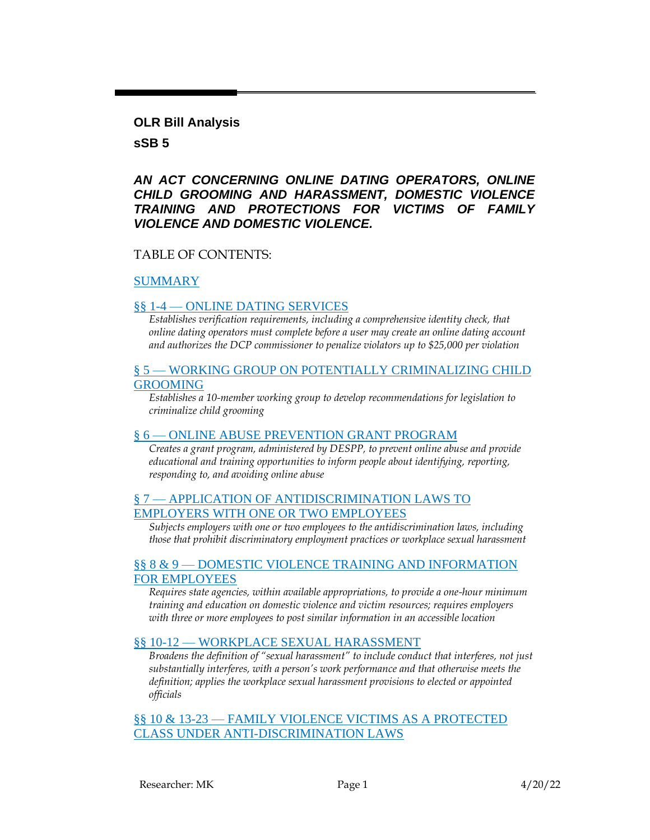#### **OLR Bill Analysis**

#### **sSB 5**

### *AN ACT CONCERNING ONLINE DATING OPERATORS, ONLINE CHILD GROOMING AND HARASSMENT, DOMESTIC VIOLENCE TRAINING AND PROTECTIONS FOR VICTIMS OF FAMILY VIOLENCE AND DOMESTIC VIOLENCE.*

#### TABLE OF CONTENTS:

#### [SUMMARY](#page-1-0)

#### §§ 1-4 — [ONLINE DATING SERVICES](#page-2-0)

*Establishes verification requirements, including a comprehensive identity check, that online dating operators must complete before a user may create an online dating account and authorizes the DCP commissioner to penalize violators up to \$25,000 per violation*

#### § 5 — [WORKING GROUP ON POTENTIALLY CRIMINALIZING CHILD](#page-5-0)  [GROOMING](#page-5-0)

*Establishes a 10-member working group to develop recommendations for legislation to criminalize child grooming*

#### § 6 — [ONLINE ABUSE PREVENTION GRANT PROGRAM](#page-6-0)

*Creates a grant program, administered by DESPP, to prevent online abuse and provide educational and training opportunities to inform people about identifying, reporting, responding to, and avoiding online abuse*

#### § 7 — [APPLICATION OF ANTIDISCRIMINATION LAWS TO](#page-8-0)  [EMPLOYERS WITH ONE OR TWO EMPLOYEES](#page-8-0)

*Subjects employers with one or two employees to the antidiscrimination laws, including those that prohibit discriminatory employment practices or workplace sexual harassment*

#### §§ 8 & 9 — [DOMESTIC VIOLENCE TRAINING AND INFORMATION](#page-9-0)  [FOR EMPLOYEES](#page-9-0)

*Requires state agencies, within available appropriations, to provide a one-hour minimum training and education on domestic violence and victim resources; requires employers with three or more employees to post similar information in an accessible location*

#### §§ 10-12 — [WORKPLACE SEXUAL HARASSMENT](#page-10-0)

*Broadens the definition of "sexual harassment" to include conduct that interferes, not just substantially interferes, with a person's work performance and that otherwise meets the definition; applies the workplace sexual harassment provisions to elected or appointed officials*

§§ 10 & 13-23 - FAMILY VIOLENCE VICTIMS AS A PROTECTED [CLASS UNDER ANTI-DISCRIMINATION LAWS](#page-11-0)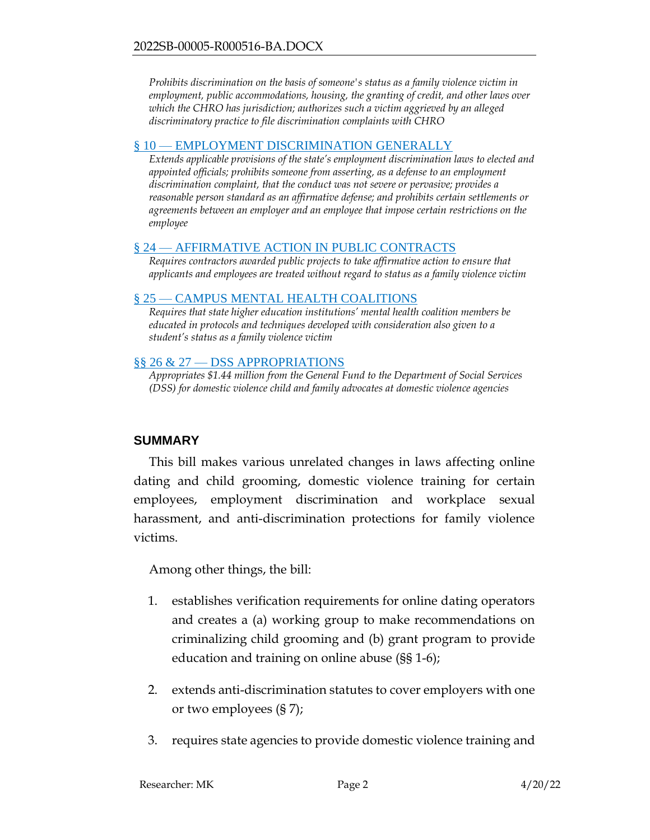*Prohibits discrimination on the basis of someone's status as a family violence victim in employment, public accommodations, housing, the granting of credit, and other laws over which the CHRO has jurisdiction; authorizes such a victim aggrieved by an alleged discriminatory practice to file discrimination complaints with CHRO*

#### § 10 — [EMPLOYMENT DISCRIMINATION GENERALLY](#page-17-0)

*Extends applicable provisions of the state's employment discrimination laws to elected and appointed officials; prohibits someone from asserting, as a defense to an employment discrimination complaint, that the conduct was not severe or pervasive; provides a reasonable person standard as an affirmative defense; and prohibits certain settlements or agreements between an employer and an employee that impose certain restrictions on the employee*

#### § 24 — [AFFIRMATIVE ACTION IN PUBLIC CONTRACTS](#page-19-0)

*Requires contractors awarded public projects to take affirmative action to ensure that applicants and employees are treated without regard to status as a family violence victim*

#### § 25 — [CAMPUS MENTAL HEALTH COALITIONS](#page-19-1)

*Requires that state higher education institutions' mental health coalition members be educated in protocols and techniques developed with consideration also given to a student's status as a family violence victim*

#### §§ 26 & 27 — [DSS APPROPRIATIONS](#page-19-2)

*Appropriates \$1.44 million from the General Fund to the Department of Social Services (DSS) for domestic violence child and family advocates at domestic violence agencies*

### <span id="page-1-0"></span>**SUMMARY**

This bill makes various unrelated changes in laws affecting online dating and child grooming, domestic violence training for certain employees, employment discrimination and workplace sexual harassment, and anti-discrimination protections for family violence victims.

Among other things, the bill:

- 1. establishes verification requirements for online dating operators and creates a (a) working group to make recommendations on criminalizing child grooming and (b) grant program to provide education and training on online abuse (§§ 1-6);
- 2. extends anti-discrimination statutes to cover employers with one or two employees (§ 7);
- 3. requires state agencies to provide domestic violence training and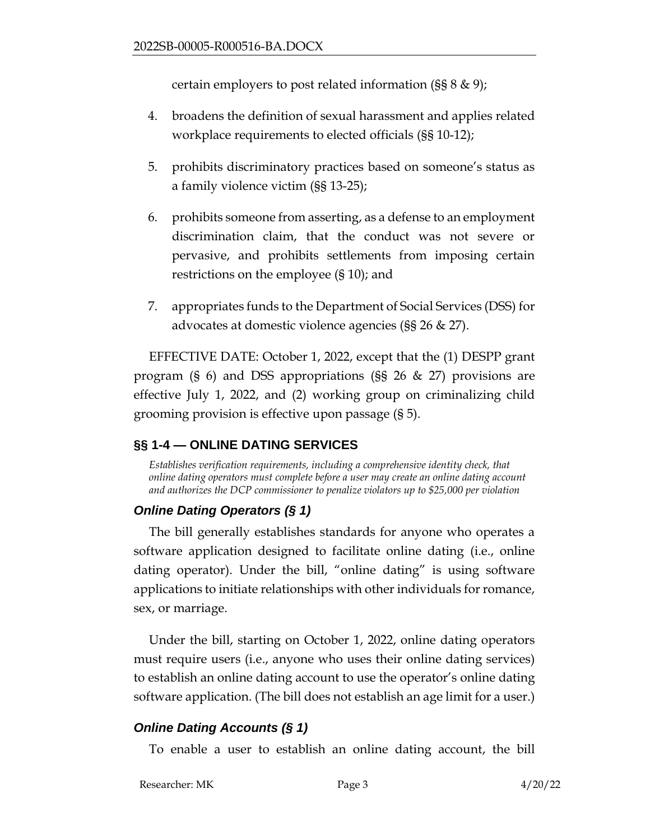certain employers to post related information (§§ 8 & 9);

- 4. broadens the definition of sexual harassment and applies related workplace requirements to elected officials (§§ 10-12);
- 5. prohibits discriminatory practices based on someone's status as a family violence victim (§§ 13-25);
- 6. prohibits someone from asserting, as a defense to an employment discrimination claim, that the conduct was not severe or pervasive, and prohibits settlements from imposing certain restrictions on the employee (§ 10); and
- 7. appropriates funds to the Department of Social Services (DSS) for advocates at domestic violence agencies (§§ 26 & 27).

EFFECTIVE DATE: October 1, 2022, except that the (1) DESPP grant program (§ 6) and DSS appropriations (§§ 26 & 27) provisions are effective July 1, 2022, and (2) working group on criminalizing child grooming provision is effective upon passage (§ 5).

# <span id="page-2-0"></span>**§§ 1-4 — ONLINE DATING SERVICES**

*Establishes verification requirements, including a comprehensive identity check, that online dating operators must complete before a user may create an online dating account and authorizes the DCP commissioner to penalize violators up to \$25,000 per violation*

## *Online Dating Operators (§ 1)*

The bill generally establishes standards for anyone who operates a software application designed to facilitate online dating (i.e., online dating operator). Under the bill, "online dating" is using software applications to initiate relationships with other individuals for romance, sex, or marriage.

Under the bill, starting on October 1, 2022, online dating operators must require users (i.e., anyone who uses their online dating services) to establish an online dating account to use the operator's online dating software application. (The bill does not establish an age limit for a user.)

# *Online Dating Accounts (§ 1)*

To enable a user to establish an online dating account, the bill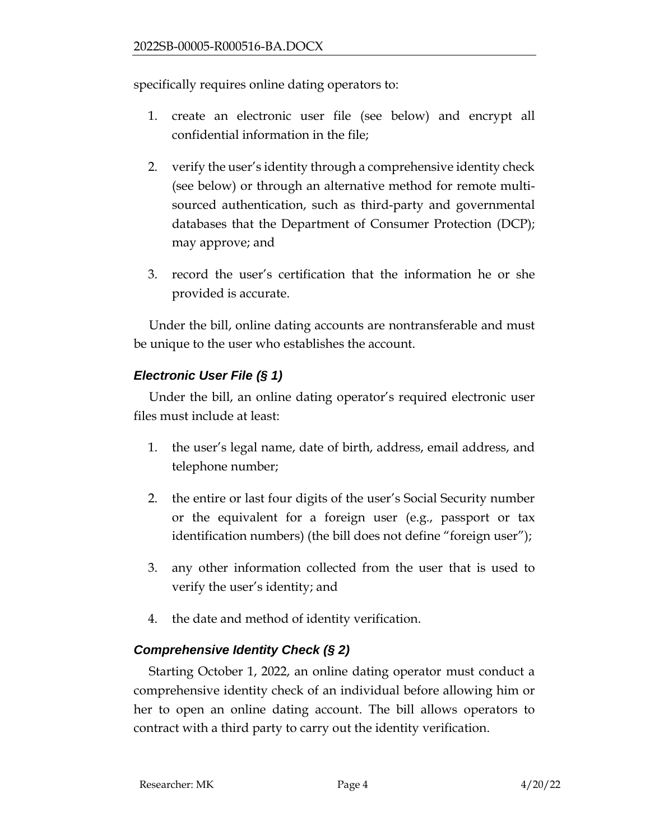specifically requires online dating operators to:

- 1. create an electronic user file (see below) and encrypt all confidential information in the file;
- 2. verify the user's identity through a comprehensive identity check (see below) or through an alternative method for remote multisourced authentication, such as third-party and governmental databases that the Department of Consumer Protection (DCP); may approve; and
- 3. record the user's certification that the information he or she provided is accurate.

Under the bill, online dating accounts are nontransferable and must be unique to the user who establishes the account.

# *Electronic User File (§ 1)*

Under the bill, an online dating operator's required electronic user files must include at least:

- 1. the user's legal name, date of birth, address, email address, and telephone number;
- 2. the entire or last four digits of the user's Social Security number or the equivalent for a foreign user (e.g., passport or tax identification numbers) (the bill does not define "foreign user");
- 3. any other information collected from the user that is used to verify the user's identity; and
- 4. the date and method of identity verification.

# *Comprehensive Identity Check (§ 2)*

Starting October 1, 2022, an online dating operator must conduct a comprehensive identity check of an individual before allowing him or her to open an online dating account. The bill allows operators to contract with a third party to carry out the identity verification.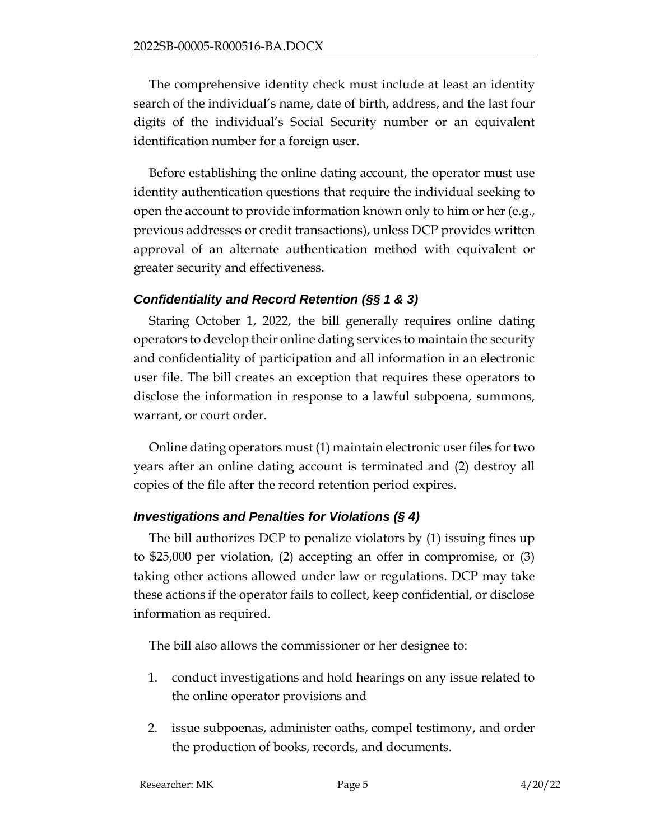The comprehensive identity check must include at least an identity search of the individual's name, date of birth, address, and the last four digits of the individual's Social Security number or an equivalent identification number for a foreign user.

Before establishing the online dating account, the operator must use identity authentication questions that require the individual seeking to open the account to provide information known only to him or her (e.g., previous addresses or credit transactions), unless DCP provides written approval of an alternate authentication method with equivalent or greater security and effectiveness.

### *Confidentiality and Record Retention (§§ 1 & 3)*

Staring October 1, 2022, the bill generally requires online dating operators to develop their online dating services to maintain the security and confidentiality of participation and all information in an electronic user file. The bill creates an exception that requires these operators to disclose the information in response to a lawful subpoena, summons, warrant, or court order.

Online dating operators must (1) maintain electronic user files for two years after an online dating account is terminated and (2) destroy all copies of the file after the record retention period expires.

### *Investigations and Penalties for Violations (§ 4)*

The bill authorizes DCP to penalize violators by (1) issuing fines up to \$25,000 per violation, (2) accepting an offer in compromise, or (3) taking other actions allowed under law or regulations. DCP may take these actions if the operator fails to collect, keep confidential, or disclose information as required.

The bill also allows the commissioner or her designee to:

- 1. conduct investigations and hold hearings on any issue related to the online operator provisions and
- 2. issue subpoenas, administer oaths, compel testimony, and order the production of books, records, and documents.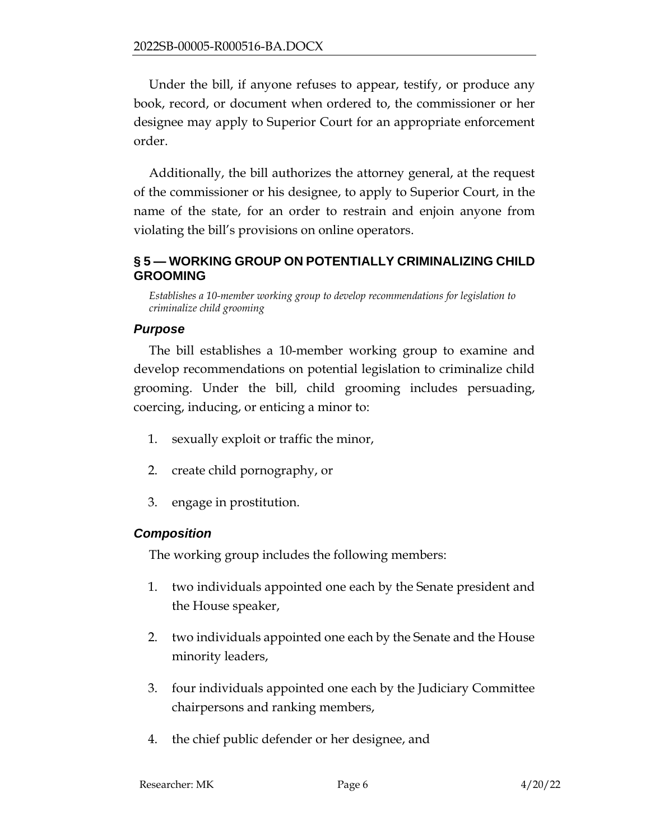Under the bill, if anyone refuses to appear, testify, or produce any book, record, or document when ordered to, the commissioner or her designee may apply to Superior Court for an appropriate enforcement order.

Additionally, the bill authorizes the attorney general, at the request of the commissioner or his designee, to apply to Superior Court, in the name of the state, for an order to restrain and enjoin anyone from violating the bill's provisions on online operators.

### <span id="page-5-0"></span>**§ 5 — WORKING GROUP ON POTENTIALLY CRIMINALIZING CHILD GROOMING**

*Establishes a 10-member working group to develop recommendations for legislation to criminalize child grooming*

## *Purpose*

The bill establishes a 10-member working group to examine and develop recommendations on potential legislation to criminalize child grooming. Under the bill, child grooming includes persuading, coercing, inducing, or enticing a minor to:

- 1. sexually exploit or traffic the minor,
- 2. create child pornography, or
- 3. engage in prostitution.

# *Composition*

The working group includes the following members:

- 1. two individuals appointed one each by the Senate president and the House speaker,
- 2. two individuals appointed one each by the Senate and the House minority leaders,
- 3. four individuals appointed one each by the Judiciary Committee chairpersons and ranking members,
- 4. the chief public defender or her designee, and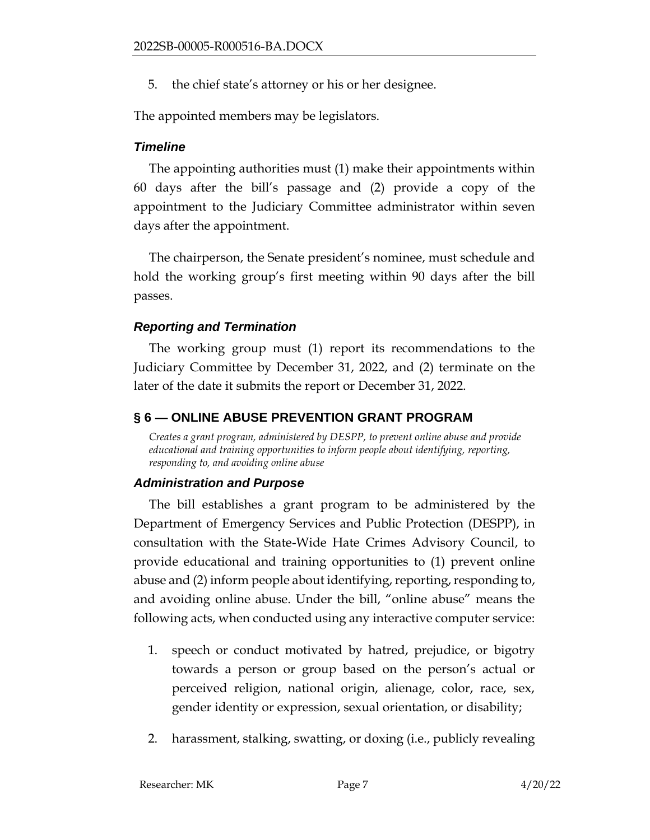5. the chief state's attorney or his or her designee.

The appointed members may be legislators.

# *Timeline*

The appointing authorities must (1) make their appointments within 60 days after the bill's passage and (2) provide a copy of the appointment to the Judiciary Committee administrator within seven days after the appointment.

The chairperson, the Senate president's nominee, must schedule and hold the working group's first meeting within 90 days after the bill passes.

# *Reporting and Termination*

The working group must (1) report its recommendations to the Judiciary Committee by December 31, 2022, and (2) terminate on the later of the date it submits the report or December 31, 2022.

# <span id="page-6-0"></span>**§ 6 — ONLINE ABUSE PREVENTION GRANT PROGRAM**

*Creates a grant program, administered by DESPP, to prevent online abuse and provide educational and training opportunities to inform people about identifying, reporting, responding to, and avoiding online abuse*

# *Administration and Purpose*

The bill establishes a grant program to be administered by the Department of Emergency Services and Public Protection (DESPP), in consultation with the State-Wide Hate Crimes Advisory Council, to provide educational and training opportunities to (1) prevent online abuse and (2) inform people about identifying, reporting, responding to, and avoiding online abuse. Under the bill, "online abuse" means the following acts, when conducted using any interactive computer service:

- 1. speech or conduct motivated by hatred, prejudice, or bigotry towards a person or group based on the person's actual or perceived religion, national origin, alienage, color, race, sex, gender identity or expression, sexual orientation, or disability;
- 2. harassment, stalking, swatting, or doxing (i.e., publicly revealing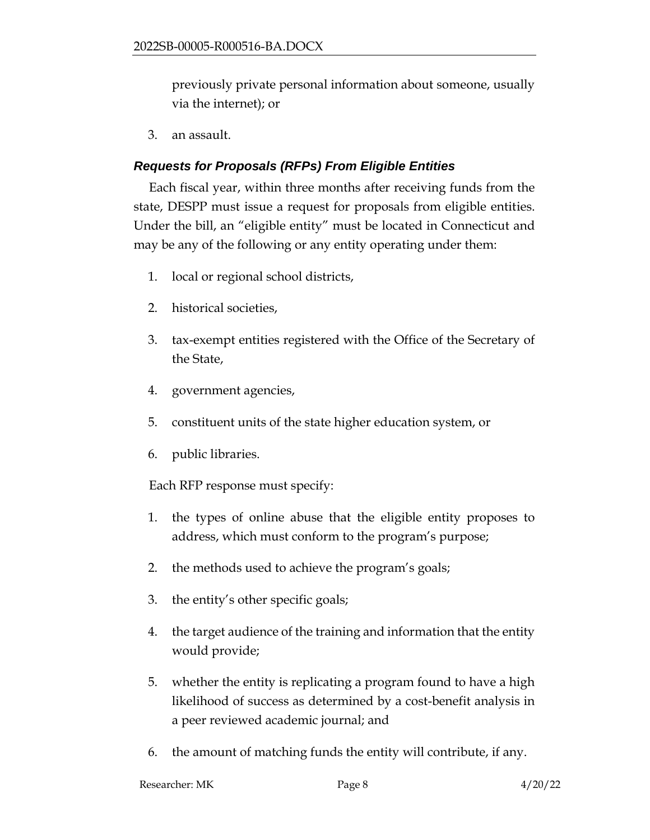previously private personal information about someone, usually via the internet); or

3. an assault.

## *Requests for Proposals (RFPs) From Eligible Entities*

Each fiscal year, within three months after receiving funds from the state, DESPP must issue a request for proposals from eligible entities. Under the bill, an "eligible entity" must be located in Connecticut and may be any of the following or any entity operating under them:

- 1. local or regional school districts,
- 2. historical societies,
- 3. tax-exempt entities registered with the Office of the Secretary of the State,
- 4. government agencies,
- 5. constituent units of the state higher education system, or
- 6. public libraries.

Each RFP response must specify:

- 1. the types of online abuse that the eligible entity proposes to address, which must conform to the program's purpose;
- 2. the methods used to achieve the program's goals;
- 3. the entity's other specific goals;
- 4. the target audience of the training and information that the entity would provide;
- 5. whether the entity is replicating a program found to have a high likelihood of success as determined by a cost-benefit analysis in a peer reviewed academic journal; and
- 6. the amount of matching funds the entity will contribute, if any.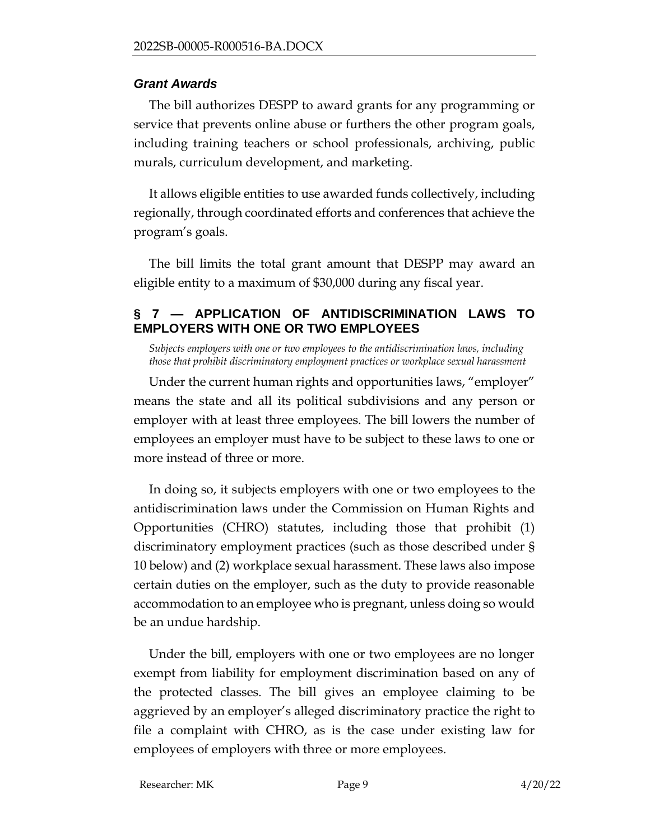### *Grant Awards*

The bill authorizes DESPP to award grants for any programming or service that prevents online abuse or furthers the other program goals, including training teachers or school professionals, archiving, public murals, curriculum development, and marketing.

It allows eligible entities to use awarded funds collectively, including regionally, through coordinated efforts and conferences that achieve the program's goals.

The bill limits the total grant amount that DESPP may award an eligible entity to a maximum of \$30,000 during any fiscal year.

## <span id="page-8-0"></span>**§ 7 — APPLICATION OF ANTIDISCRIMINATION LAWS TO EMPLOYERS WITH ONE OR TWO EMPLOYEES**

*Subjects employers with one or two employees to the antidiscrimination laws, including those that prohibit discriminatory employment practices or workplace sexual harassment*

Under the current human rights and opportunities laws, "employer" means the state and all its political subdivisions and any person or employer with at least three employees. The bill lowers the number of employees an employer must have to be subject to these laws to one or more instead of three or more.

In doing so, it subjects employers with one or two employees to the antidiscrimination laws under the Commission on Human Rights and Opportunities (CHRO) statutes, including those that prohibit (1) discriminatory employment practices (such as those described under § 10 below) and (2) workplace sexual harassment. These laws also impose certain duties on the employer, such as the duty to provide reasonable accommodation to an employee who is pregnant, unless doing so would be an undue hardship.

Under the bill, employers with one or two employees are no longer exempt from liability for employment discrimination based on any of the protected classes. The bill gives an employee claiming to be aggrieved by an employer's alleged discriminatory practice the right to file a complaint with CHRO, as is the case under existing law for employees of employers with three or more employees.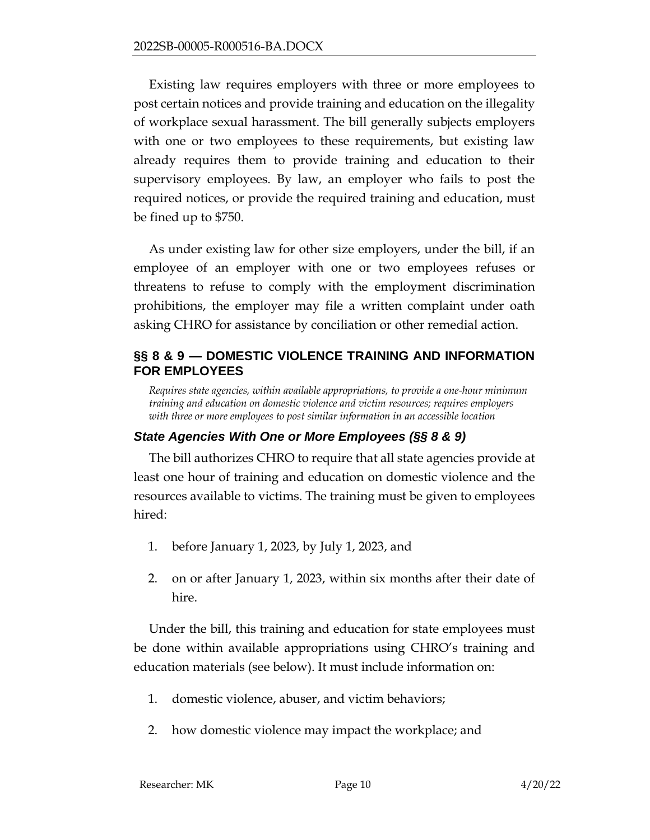Existing law requires employers with three or more employees to post certain notices and provide training and education on the illegality of workplace sexual harassment. The bill generally subjects employers with one or two employees to these requirements, but existing law already requires them to provide training and education to their supervisory employees. By law, an employer who fails to post the required notices, or provide the required training and education, must be fined up to \$750.

As under existing law for other size employers, under the bill, if an employee of an employer with one or two employees refuses or threatens to refuse to comply with the employment discrimination prohibitions, the employer may file a written complaint under oath asking CHRO for assistance by conciliation or other remedial action.

### <span id="page-9-0"></span>**§§ 8 & 9 — DOMESTIC VIOLENCE TRAINING AND INFORMATION FOR EMPLOYEES**

*Requires state agencies, within available appropriations, to provide a one-hour minimum training and education on domestic violence and victim resources; requires employers with three or more employees to post similar information in an accessible location* 

## *State Agencies With One or More Employees (§§ 8 & 9)*

The bill authorizes CHRO to require that all state agencies provide at least one hour of training and education on domestic violence and the resources available to victims. The training must be given to employees hired:

- 1. before January 1, 2023, by July 1, 2023, and
- 2. on or after January 1, 2023, within six months after their date of hire.

Under the bill, this training and education for state employees must be done within available appropriations using CHRO's training and education materials (see below). It must include information on:

- 1. domestic violence, abuser, and victim behaviors;
- 2. how domestic violence may impact the workplace; and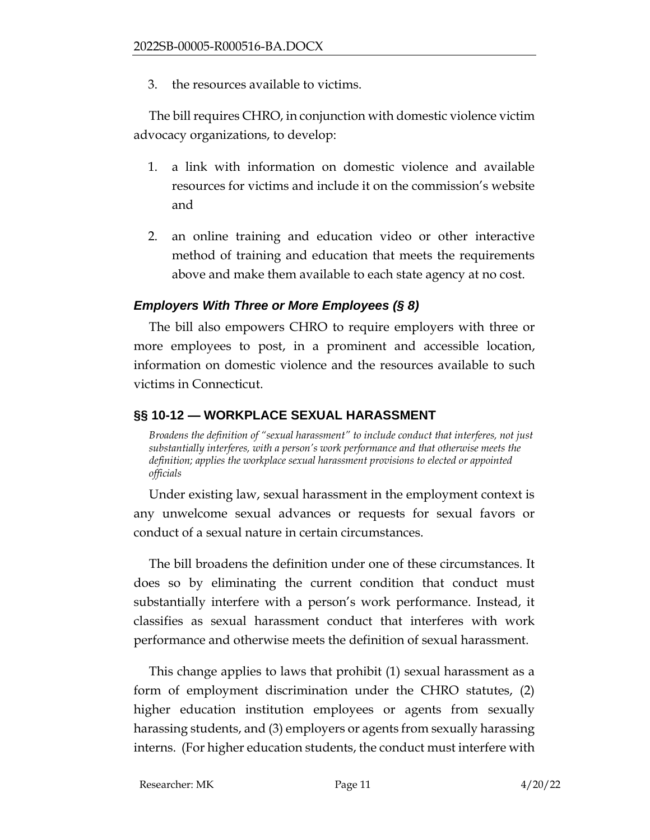3. the resources available to victims.

The bill requires CHRO, in conjunction with domestic violence victim advocacy organizations, to develop:

- 1. a link with information on domestic violence and available resources for victims and include it on the commission's website and
- 2. an online training and education video or other interactive method of training and education that meets the requirements above and make them available to each state agency at no cost.

### *Employers With Three or More Employees (§ 8)*

The bill also empowers CHRO to require employers with three or more employees to post, in a prominent and accessible location, information on domestic violence and the resources available to such victims in Connecticut.

## <span id="page-10-0"></span>**§§ 10-12 — WORKPLACE SEXUAL HARASSMENT**

*Broadens the definition of "sexual harassment" to include conduct that interferes, not just substantially interferes, with a person's work performance and that otherwise meets the definition; applies the workplace sexual harassment provisions to elected or appointed officials*

Under existing law, sexual harassment in the employment context is any unwelcome sexual advances or requests for sexual favors or conduct of a sexual nature in certain circumstances.

The bill broadens the definition under one of these circumstances. It does so by eliminating the current condition that conduct must substantially interfere with a person's work performance. Instead, it classifies as sexual harassment conduct that interferes with work performance and otherwise meets the definition of sexual harassment.

This change applies to laws that prohibit (1) sexual harassment as a form of employment discrimination under the CHRO statutes, (2) higher education institution employees or agents from sexually harassing students, and (3) employers or agents from sexually harassing interns. (For higher education students, the conduct must interfere with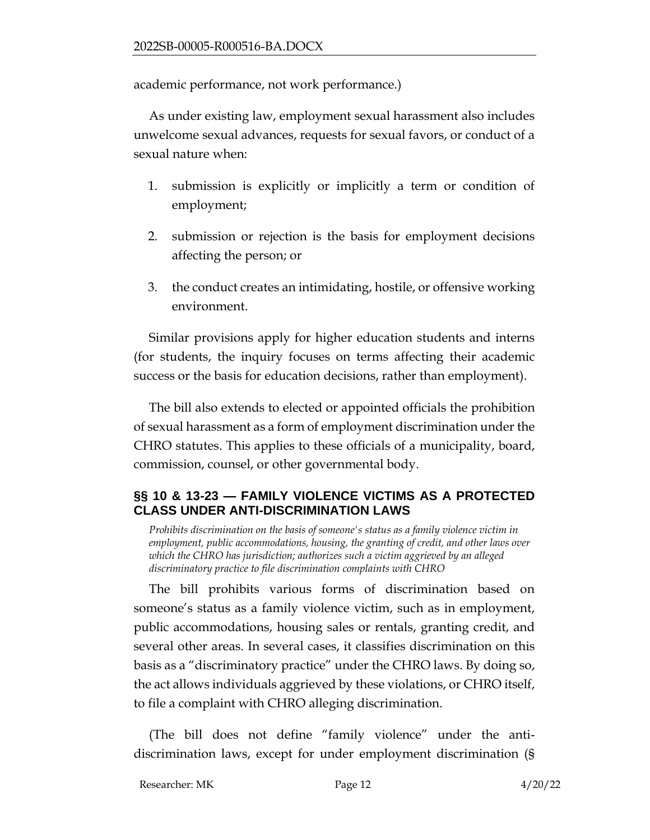academic performance, not work performance.)

As under existing law, employment sexual harassment also includes unwelcome sexual advances, requests for sexual favors, or conduct of a sexual nature when:

- 1. submission is explicitly or implicitly a term or condition of employment;
- 2. submission or rejection is the basis for employment decisions affecting the person; or
- 3. the conduct creates an intimidating, hostile, or offensive working environment.

Similar provisions apply for higher education students and interns (for students, the inquiry focuses on terms affecting their academic success or the basis for education decisions, rather than employment).

The bill also extends to elected or appointed officials the prohibition of sexual harassment as a form of employment discrimination under the CHRO statutes. This applies to these officials of a municipality, board, commission, counsel, or other governmental body.

## <span id="page-11-0"></span>**§§ 10 & 13-23 — FAMILY VIOLENCE VICTIMS AS A PROTECTED CLASS UNDER ANTI-DISCRIMINATION LAWS**

Prohibits discrimination on the basis of someone's status as a family violence victim in *employment, public accommodations, housing, the granting of credit, and other laws over which the CHRO has jurisdiction; authorizes such a victim aggrieved by an alleged discriminatory practice to file discrimination complaints with CHRO* 

The bill prohibits various forms of discrimination based on someone's status as a family violence victim, such as in employment, public accommodations, housing sales or rentals, granting credit, and several other areas. In several cases, it classifies discrimination on this basis as a "discriminatory practice" under the CHRO laws. By doing so, the act allows individuals aggrieved by these violations, or CHRO itself, to file a complaint with CHRO alleging discrimination.

(The bill does not define "family violence" under the antidiscrimination laws, except for under employment discrimination (§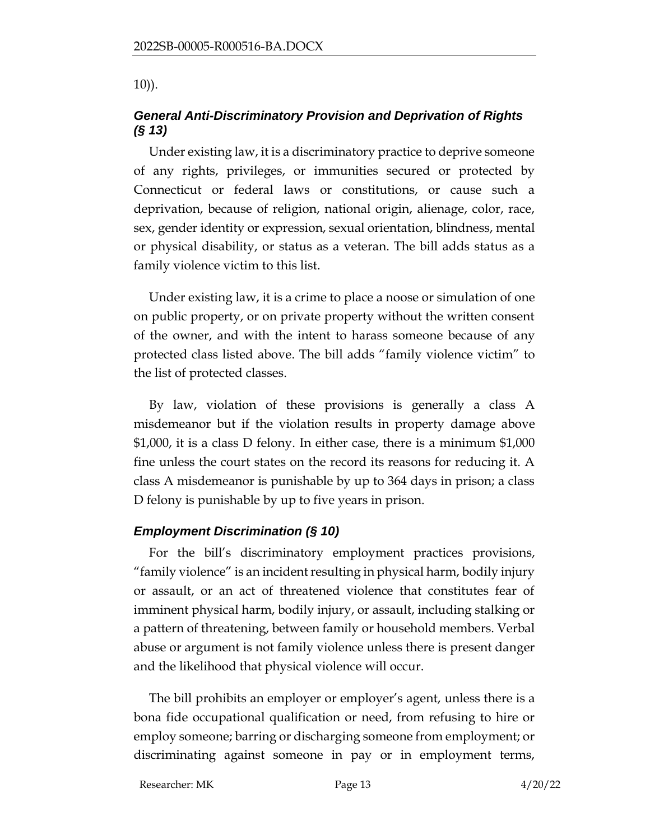10)).

# *General Anti-Discriminatory Provision and Deprivation of Rights (§ 13)*

Under existing law, it is a discriminatory practice to deprive someone of any rights, privileges, or immunities secured or protected by Connecticut or federal laws or constitutions, or cause such a deprivation, because of religion, national origin, alienage, color, race, sex, gender identity or expression, sexual orientation, blindness, mental or physical disability, or status as a veteran. The bill adds status as a family violence victim to this list.

Under existing law, it is a crime to place a noose or simulation of one on public property, or on private property without the written consent of the owner, and with the intent to harass someone because of any protected class listed above. The bill adds "family violence victim" to the list of protected classes.

By law, violation of these provisions is generally a class A misdemeanor but if the violation results in property damage above \$1,000, it is a class D felony. In either case, there is a minimum \$1,000 fine unless the court states on the record its reasons for reducing it. A class A misdemeanor is punishable by up to 364 days in prison; a class D felony is punishable by up to five years in prison.

## *Employment Discrimination (§ 10)*

For the bill's discriminatory employment practices provisions, "family violence" is an incident resulting in physical harm, bodily injury or assault, or an act of threatened violence that constitutes fear of imminent physical harm, bodily injury, or assault, including stalking or a pattern of threatening, between family or household members. Verbal abuse or argument is not family violence unless there is present danger and the likelihood that physical violence will occur.

The bill prohibits an employer or employer's agent, unless there is a bona fide occupational qualification or need, from refusing to hire or employ someone; barring or discharging someone from employment; or discriminating against someone in pay or in employment terms,

Researcher: MK Page 13 4/20/22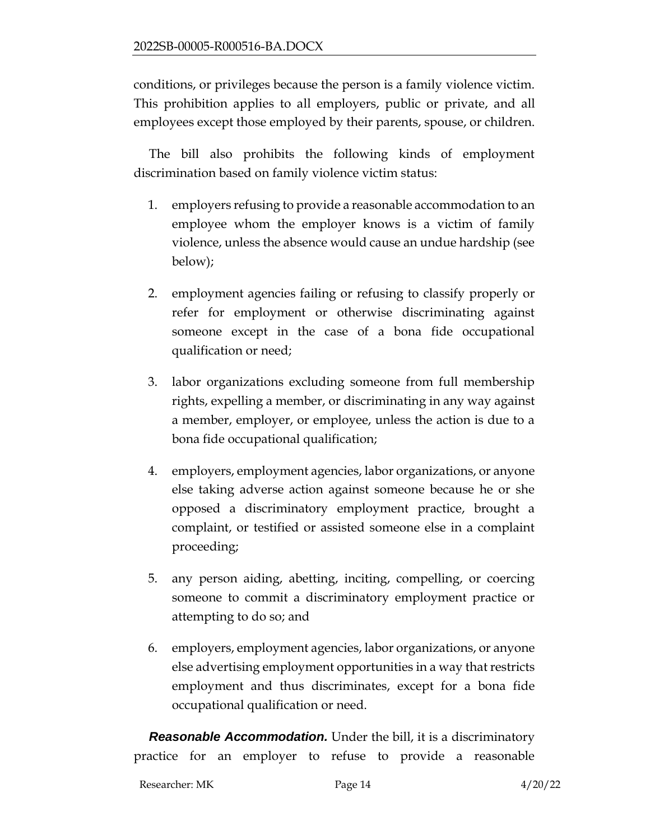conditions, or privileges because the person is a family violence victim. This prohibition applies to all employers, public or private, and all employees except those employed by their parents, spouse, or children.

The bill also prohibits the following kinds of employment discrimination based on family violence victim status:

- 1. employers refusing to provide a reasonable accommodation to an employee whom the employer knows is a victim of family violence, unless the absence would cause an undue hardship (see below);
- 2. employment agencies failing or refusing to classify properly or refer for employment or otherwise discriminating against someone except in the case of a bona fide occupational qualification or need;
- 3. labor organizations excluding someone from full membership rights, expelling a member, or discriminating in any way against a member, employer, or employee, unless the action is due to a bona fide occupational qualification;
- 4. employers, employment agencies, labor organizations, or anyone else taking adverse action against someone because he or she opposed a discriminatory employment practice, brought a complaint, or testified or assisted someone else in a complaint proceeding;
- 5. any person aiding, abetting, inciting, compelling, or coercing someone to commit a discriminatory employment practice or attempting to do so; and
- 6. employers, employment agencies, labor organizations, or anyone else advertising employment opportunities in a way that restricts employment and thus discriminates, except for a bona fide occupational qualification or need.

*Reasonable Accommodation.* Under the bill, it is a discriminatory practice for an employer to refuse to provide a reasonable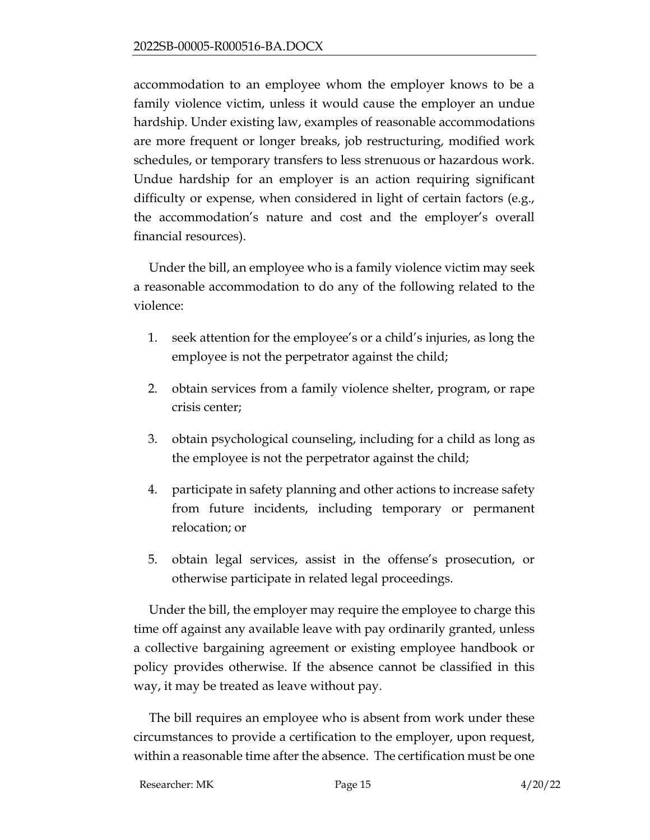accommodation to an employee whom the employer knows to be a family violence victim, unless it would cause the employer an undue hardship. Under existing law, examples of reasonable accommodations are more frequent or longer breaks, job restructuring, modified work schedules, or temporary transfers to less strenuous or hazardous work. Undue hardship for an employer is an action requiring significant difficulty or expense, when considered in light of certain factors (e.g., the accommodation's nature and cost and the employer's overall financial resources).

Under the bill, an employee who is a family violence victim may seek a reasonable accommodation to do any of the following related to the violence:

- 1. seek attention for the employee's or a child's injuries, as long the employee is not the perpetrator against the child;
- 2. obtain services from a family violence shelter, program, or rape crisis center;
- 3. obtain psychological counseling, including for a child as long as the employee is not the perpetrator against the child;
- 4. participate in safety planning and other actions to increase safety from future incidents, including temporary or permanent relocation; or
- 5. obtain legal services, assist in the offense's prosecution, or otherwise participate in related legal proceedings.

Under the bill, the employer may require the employee to charge this time off against any available leave with pay ordinarily granted, unless a collective bargaining agreement or existing employee handbook or policy provides otherwise. If the absence cannot be classified in this way, it may be treated as leave without pay.

The bill requires an employee who is absent from work under these circumstances to provide a certification to the employer, upon request, within a reasonable time after the absence. The certification must be one

Researcher: MK Page 15 4/20/22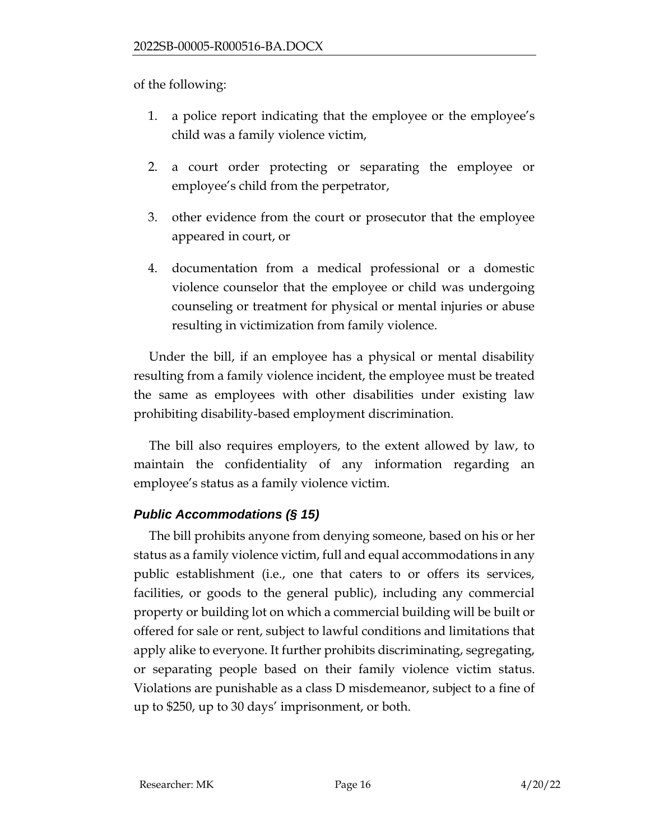of the following:

- 1. a police report indicating that the employee or the employee's child was a family violence victim,
- 2. a court order protecting or separating the employee or employee's child from the perpetrator,
- 3. other evidence from the court or prosecutor that the employee appeared in court, or
- 4. documentation from a medical professional or a domestic violence counselor that the employee or child was undergoing counseling or treatment for physical or mental injuries or abuse resulting in victimization from family violence.

Under the bill, if an employee has a physical or mental disability resulting from a family violence incident, the employee must be treated the same as employees with other disabilities under existing law prohibiting disability-based employment discrimination.

The bill also requires employers, to the extent allowed by law, to maintain the confidentiality of any information regarding an employee's status as a family violence victim.

# *Public Accommodations (§ 15)*

The bill prohibits anyone from denying someone, based on his or her status as a family violence victim, full and equal accommodations in any public establishment (i.e., one that caters to or offers its services, facilities, or goods to the general public), including any commercial property or building lot on which a commercial building will be built or offered for sale or rent, subject to lawful conditions and limitations that apply alike to everyone. It further prohibits discriminating, segregating, or separating people based on their family violence victim status. Violations are punishable as a class D misdemeanor, subject to a fine of up to \$250, up to 30 days' imprisonment, or both.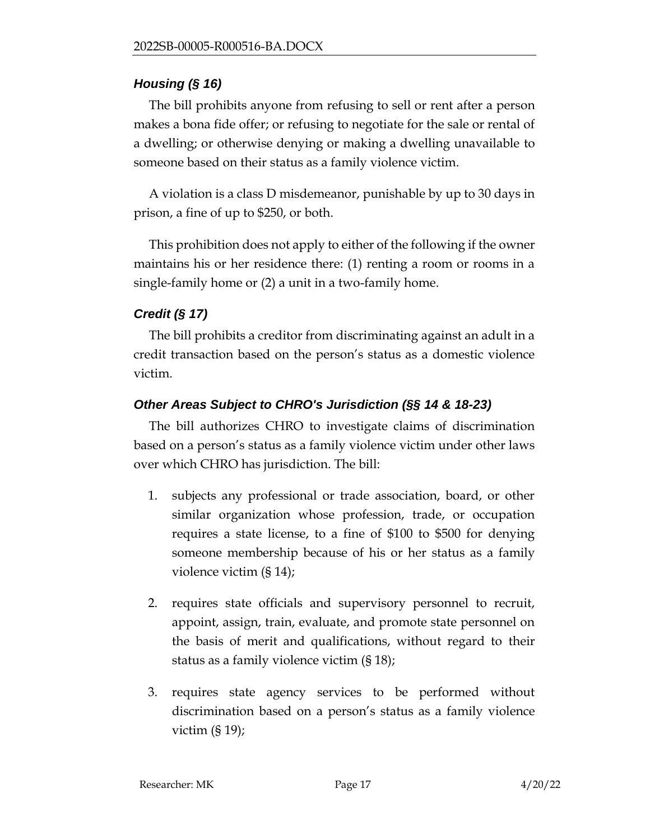## *Housing (§ 16)*

The bill prohibits anyone from refusing to sell or rent after a person makes a bona fide offer; or refusing to negotiate for the sale or rental of a dwelling; or otherwise denying or making a dwelling unavailable to someone based on their status as a family violence victim.

A violation is a class D misdemeanor, punishable by up to 30 days in prison, a fine of up to \$250, or both.

This prohibition does not apply to either of the following if the owner maintains his or her residence there: (1) renting a room or rooms in a single-family home or (2) a unit in a two-family home.

# *Credit (§ 17)*

The bill prohibits a creditor from discriminating against an adult in a credit transaction based on the person's status as a domestic violence victim.

# *Other Areas Subject to CHRO's Jurisdiction (§§ 14 & 18-23)*

The bill authorizes CHRO to investigate claims of discrimination based on a person's status as a family violence victim under other laws over which CHRO has jurisdiction. The bill:

- 1. subjects any professional or trade association, board, or other similar organization whose profession, trade, or occupation requires a state license, to a fine of \$100 to \$500 for denying someone membership because of his or her status as a family violence victim (§ 14);
- 2. requires state officials and supervisory personnel to recruit, appoint, assign, train, evaluate, and promote state personnel on the basis of merit and qualifications, without regard to their status as a family violence victim (§ 18);
- 3. requires state agency services to be performed without discrimination based on a person's status as a family violence victim (§ 19);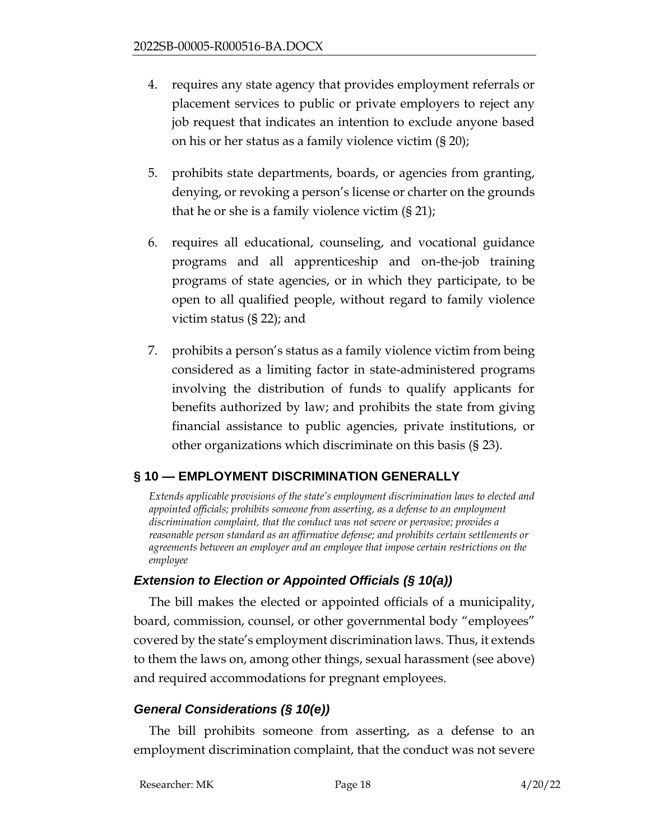- 4. requires any state agency that provides employment referrals or placement services to public or private employers to reject any job request that indicates an intention to exclude anyone based on his or her status as a family violence victim (§ 20);
- 5. prohibits state departments, boards, or agencies from granting, denying, or revoking a person's license or charter on the grounds that he or she is a family violence victim (§ 21);
- 6. requires all educational, counseling, and vocational guidance programs and all apprenticeship and on-the-job training programs of state agencies, or in which they participate, to be open to all qualified people, without regard to family violence victim status (§ 22); and
- 7. prohibits a person's status as a family violence victim from being considered as a limiting factor in state-administered programs involving the distribution of funds to qualify applicants for benefits authorized by law; and prohibits the state from giving financial assistance to public agencies, private institutions, or other organizations which discriminate on this basis (§ 23).

# <span id="page-17-0"></span>**§ 10 — EMPLOYMENT DISCRIMINATION GENERALLY**

*Extends applicable provisions of the state's employment discrimination laws to elected and appointed officials; prohibits someone from asserting, as a defense to an employment discrimination complaint, that the conduct was not severe or pervasive; provides a reasonable person standard as an affirmative defense; and prohibits certain settlements or agreements between an employer and an employee that impose certain restrictions on the employee*

## *Extension to Election or Appointed Officials (§ 10(a))*

The bill makes the elected or appointed officials of a municipality, board, commission, counsel, or other governmental body "employees" covered by the state's employment discrimination laws. Thus, it extends to them the laws on, among other things, sexual harassment (see above) and required accommodations for pregnant employees.

## *General Considerations (§ 10(e))*

The bill prohibits someone from asserting, as a defense to an employment discrimination complaint, that the conduct was not severe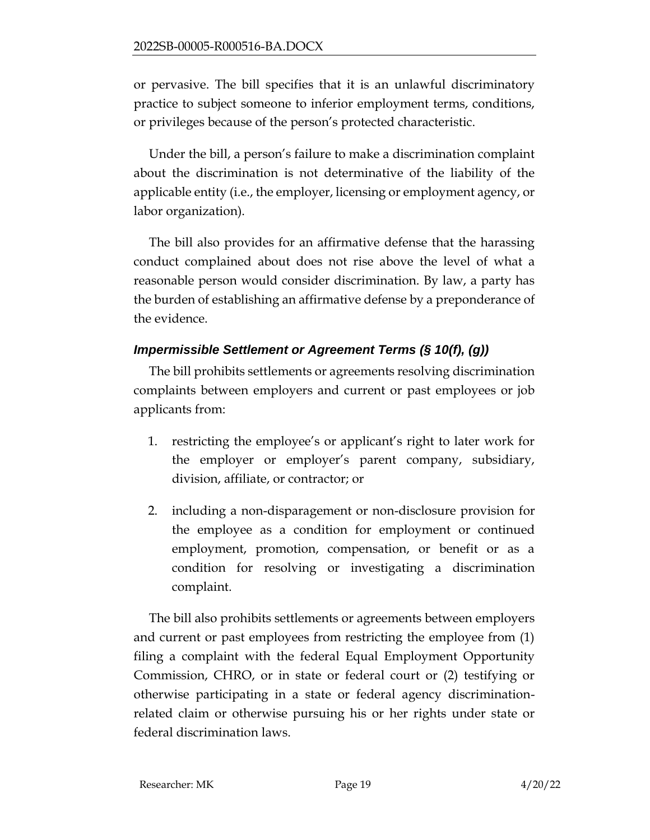or pervasive. The bill specifies that it is an unlawful discriminatory practice to subject someone to inferior employment terms, conditions, or privileges because of the person's protected characteristic.

Under the bill, a person's failure to make a discrimination complaint about the discrimination is not determinative of the liability of the applicable entity (i.e., the employer, licensing or employment agency, or labor organization).

The bill also provides for an affirmative defense that the harassing conduct complained about does not rise above the level of what a reasonable person would consider discrimination. By law, a party has the burden of establishing an affirmative defense by a preponderance of the evidence.

# *Impermissible Settlement or Agreement Terms (§ 10(f), (g))*

The bill prohibits settlements or agreements resolving discrimination complaints between employers and current or past employees or job applicants from:

- 1. restricting the employee's or applicant's right to later work for the employer or employer's parent company, subsidiary, division, affiliate, or contractor; or
- 2. including a non-disparagement or non-disclosure provision for the employee as a condition for employment or continued employment, promotion, compensation, or benefit or as a condition for resolving or investigating a discrimination complaint.

The bill also prohibits settlements or agreements between employers and current or past employees from restricting the employee from (1) filing a complaint with the federal Equal Employment Opportunity Commission, CHRO, or in state or federal court or (2) testifying or otherwise participating in a state or federal agency discriminationrelated claim or otherwise pursuing his or her rights under state or federal discrimination laws.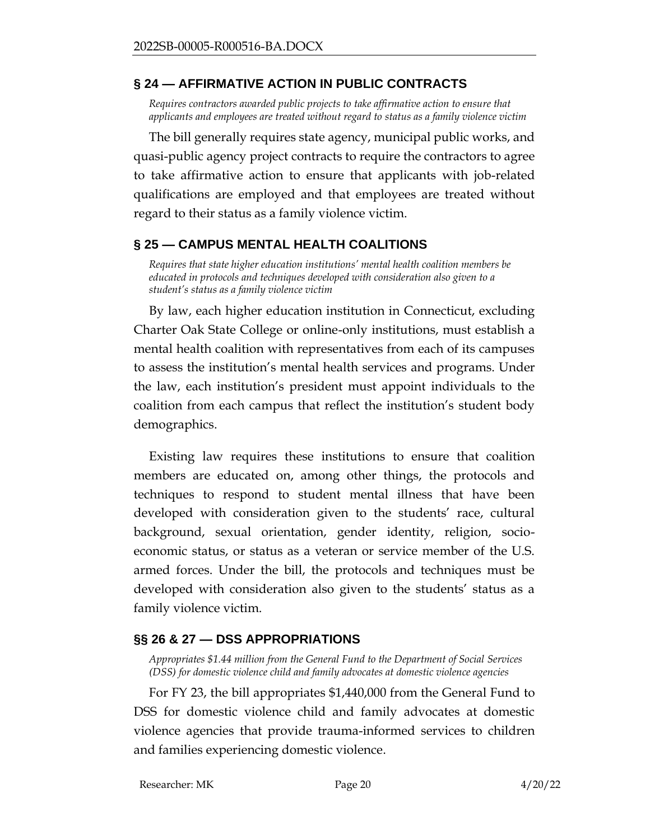### <span id="page-19-0"></span>**§ 24 — AFFIRMATIVE ACTION IN PUBLIC CONTRACTS**

*Requires contractors awarded public projects to take affirmative action to ensure that applicants and employees are treated without regard to status as a family violence victim*

The bill generally requires state agency, municipal public works, and quasi-public agency project contracts to require the contractors to agree to take affirmative action to ensure that applicants with job-related qualifications are employed and that employees are treated without regard to their status as a family violence victim.

## <span id="page-19-1"></span>**§ 25 — CAMPUS MENTAL HEALTH COALITIONS**

*Requires that state higher education institutions' mental health coalition members be educated in protocols and techniques developed with consideration also given to a student's status as a family violence victim*

By law, each higher education institution in Connecticut, excluding Charter Oak State College or online-only institutions, must establish a mental health coalition with representatives from each of its campuses to assess the institution's mental health services and programs. Under the law, each institution's president must appoint individuals to the coalition from each campus that reflect the institution's student body demographics.

Existing law requires these institutions to ensure that coalition members are educated on, among other things, the protocols and techniques to respond to student mental illness that have been developed with consideration given to the students' race, cultural background, sexual orientation, gender identity, religion, socioeconomic status, or status as a veteran or service member of the U.S. armed forces. Under the bill, the protocols and techniques must be developed with consideration also given to the students' status as a family violence victim.

## <span id="page-19-2"></span>**§§ 26 & 27 — DSS APPROPRIATIONS**

*Appropriates \$1.44 million from the General Fund to the Department of Social Services (DSS) for domestic violence child and family advocates at domestic violence agencies*

For FY 23, the bill appropriates \$1,440,000 from the General Fund to DSS for domestic violence child and family advocates at domestic violence agencies that provide trauma-informed services to children and families experiencing domestic violence.

Researcher: MK Page 20 4/20/22